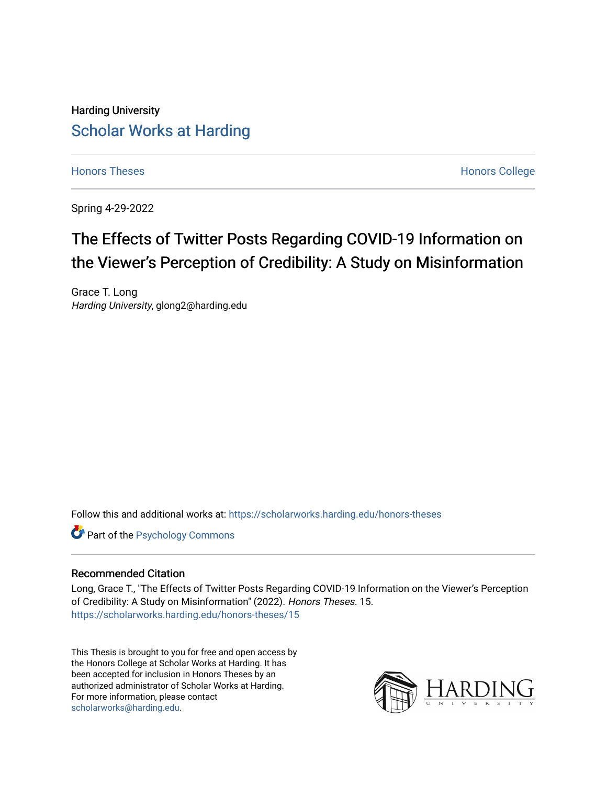# Harding University [Scholar Works at Harding](https://scholarworks.harding.edu/)

[Honors Theses](https://scholarworks.harding.edu/honors-theses) **Honors** College **Honors** College

Spring 4-29-2022

# The Effects of Twitter Posts Regarding COVID-19 Information on the Viewer's Perception of Credibility: A Study on Misinformation

Grace T. Long Harding University, glong2@harding.edu

Follow this and additional works at: [https://scholarworks.harding.edu/honors-theses](https://scholarworks.harding.edu/honors-theses?utm_source=scholarworks.harding.edu%2Fhonors-theses%2F15&utm_medium=PDF&utm_campaign=PDFCoverPages) 

**Part of the Psychology Commons** 

#### Recommended Citation

Long, Grace T., "The Effects of Twitter Posts Regarding COVID-19 Information on the Viewer's Perception of Credibility: A Study on Misinformation" (2022). Honors Theses. 15. [https://scholarworks.harding.edu/honors-theses/15](https://scholarworks.harding.edu/honors-theses/15?utm_source=scholarworks.harding.edu%2Fhonors-theses%2F15&utm_medium=PDF&utm_campaign=PDFCoverPages)

This Thesis is brought to you for free and open access by the Honors College at Scholar Works at Harding. It has been accepted for inclusion in Honors Theses by an authorized administrator of Scholar Works at Harding. For more information, please contact [scholarworks@harding.edu](mailto:scholarworks@harding.edu).

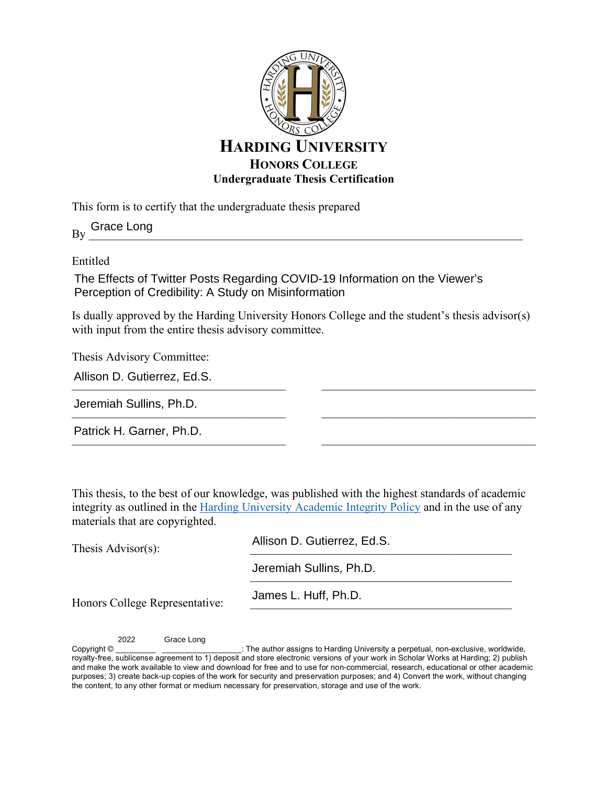

This form is to certify that the undergraduate thesis prepared

 $By \_\_\_\_\_\_\_\_\_$ Grace Long

Entitled

The Effects of Twitter Posts Regarding COVID-19 Information on the Viewer's Perception of Credibility: A Study on Misinformation

Is dually approved by the Harding University Honors College and the student's thesis advisor(s) with input from the entire thesis advisory committee.

 $\mathcal{L}_\text{max}$  , and the set of the set of the set of the set of the set of the set of the set of the set of the set of the set of the set of the set of the set of the set of the set of the set of the set of the set of the

 $\mathcal{L}_\text{max}$  , and the set of the set of the set of the set of the set of the set of the set of the set of the set of the set of the set of the set of the set of the set of the set of the set of the set of the set of the

 $\mathcal{L}_\text{max}$ 

Thesis Advisory Committee:

| Allison D. Gutierrez, Ed.S. |  |
|-----------------------------|--|
|                             |  |

\_\_\_\_\_\_\_\_\_\_\_\_\_\_\_\_\_\_\_\_\_\_\_\_\_\_\_\_\_\_\_\_\_\_\_\_ Jeremiah Sullins, Ph.D.

Patrick H. Garner, Ph.D.

This thesis, to the best of our knowledge, was published with the highest standards of academic integrity as outlined in the Harding University Academic Integrity Policy and in the use of any materials that are copyrighted.

| Thesis $\text{Advisor}(s)$ :   | Allison D. Gutierrez, Ed.S. |  |
|--------------------------------|-----------------------------|--|
|                                | Jeremiah Sullins, Ph.D.     |  |
| Honors College Representative: | James L. Huff, Ph.D.        |  |

2022 Grace Long

Copyright © **Exercise 2** copyright ©  $\blacksquare$  The author assigns to Harding University a perpetual, non-exclusive, worldwide, royalty-free, sublicense agreement to 1) deposit and store electronic versions of your work in Scholar Works at Harding; 2) publish and make the work available to view and download for free and to use for non-commercial, research, educational or other academic purposes; 3) create back-up copies of the work for security and preservation purposes; and 4) Convert the work, without changing the content, to any other format or medium necessary for preservation, storage and use of the work.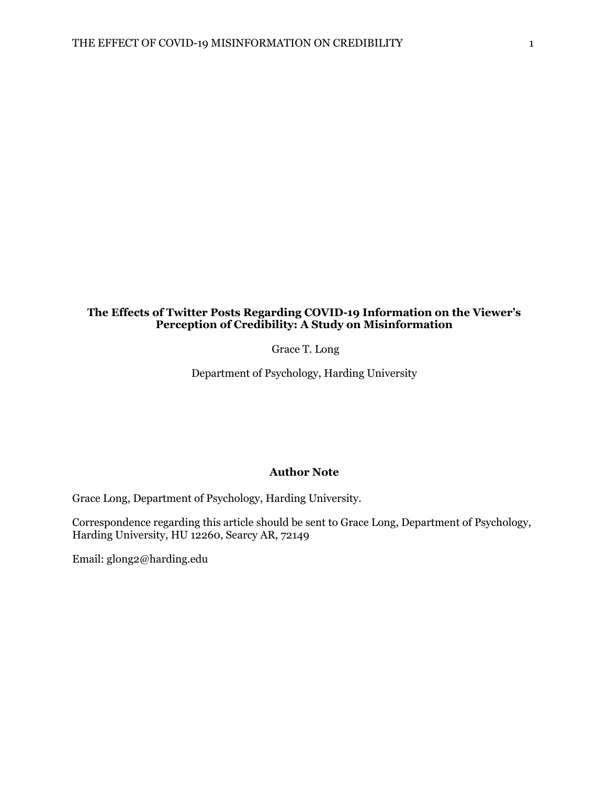# **The Effects of Twitter Posts Regarding COVID-19 Information on the Viewer's Perception of Credibility: A Study on Misinformation**

Grace T. Long

Department of Psychology, Harding University

#### **Author Note**

Grace Long, Department of Psychology, Harding University.

Correspondence regarding this article should be sent to Grace Long, Department of Psychology, Harding University, HU 12260, Searcy AR, 72149

Email: glong2@harding.edu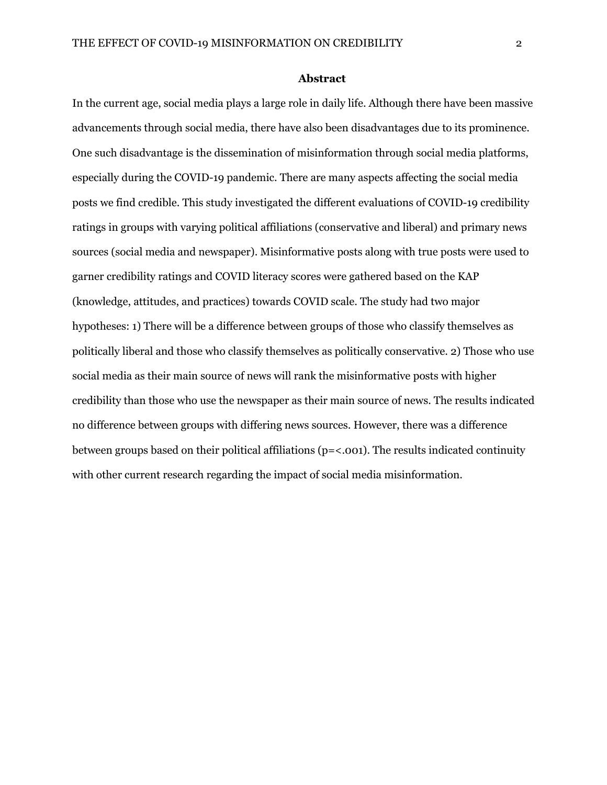#### **Abstract**

In the current age, social media plays a large role in daily life. Although there have been massive advancements through social media, there have also been disadvantages due to its prominence. One such disadvantage is the dissemination of misinformation through social media platforms, especially during the COVID-19 pandemic. There are many aspects affecting the social media posts we find credible. This study investigated the different evaluations of COVID-19 credibility ratings in groups with varying political affiliations (conservative and liberal) and primary news sources (social media and newspaper). Misinformative posts along with true posts were used to garner credibility ratings and COVID literacy scores were gathered based on the KAP (knowledge, attitudes, and practices) towards COVID scale. The study had two major hypotheses: 1) There will be a difference between groups of those who classify themselves as politically liberal and those who classify themselves as politically conservative. 2) Those who use social media as their main source of news will rank the misinformative posts with higher credibility than those who use the newspaper as their main source of news. The results indicated no difference between groups with differing news sources. However, there was a difference between groups based on their political affiliations (p=<.001). The results indicated continuity with other current research regarding the impact of social media misinformation.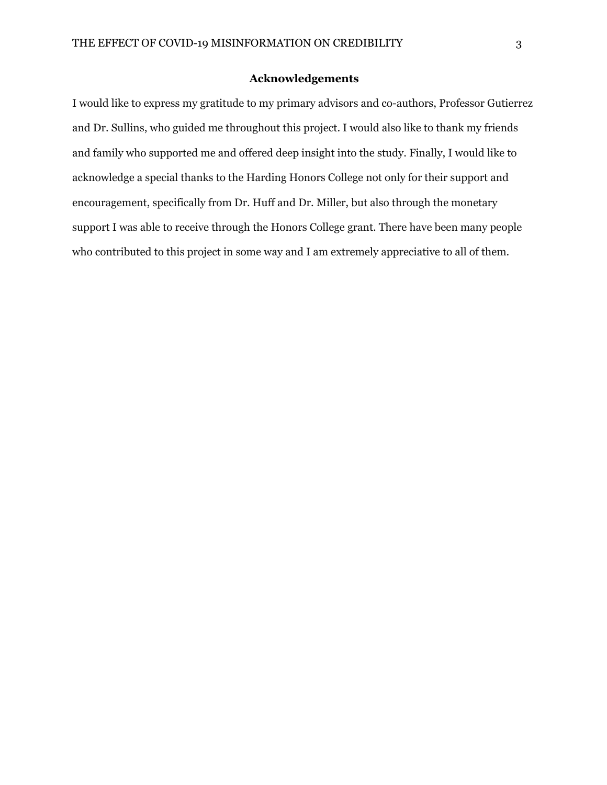### **Acknowledgements**

I would like to express my gratitude to my primary advisors and co-authors, Professor Gutierrez and Dr. Sullins, who guided me throughout this project. I would also like to thank my friends and family who supported me and offered deep insight into the study. Finally, I would like to acknowledge a special thanks to the Harding Honors College not only for their support and encouragement, specifically from Dr. Huff and Dr. Miller, but also through the monetary support I was able to receive through the Honors College grant. There have been many people who contributed to this project in some way and I am extremely appreciative to all of them.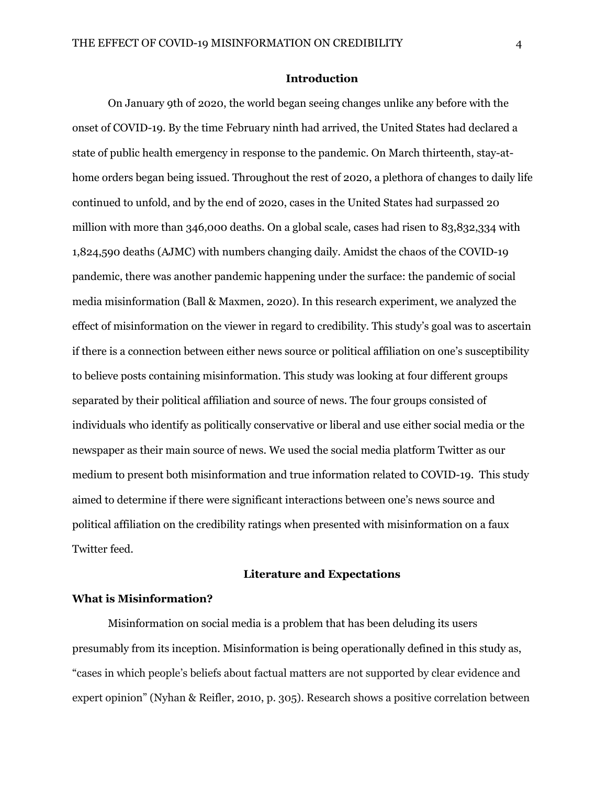#### **Introduction**

On January 9th of 2020, the world began seeing changes unlike any before with the onset of COVID-19. By the time February ninth had arrived, the United States had declared a state of public health emergency in response to the pandemic. On March thirteenth, stay-athome orders began being issued. Throughout the rest of 2020, a plethora of changes to daily life continued to unfold, and by the end of 2020, cases in the United States had surpassed 20 million with more than 346,000 deaths. On a global scale, cases had risen to 83,832,334 with 1,824,590 deaths (AJMC) with numbers changing daily. Amidst the chaos of the COVID-19 pandemic, there was another pandemic happening under the surface: the pandemic of social media misinformation (Ball & Maxmen, 2020). In this research experiment, we analyzed the effect of misinformation on the viewer in regard to credibility. This study's goal was to ascertain if there is a connection between either news source or political affiliation on one's susceptibility to believe posts containing misinformation. This study was looking at four different groups separated by their political affiliation and source of news. The four groups consisted of individuals who identify as politically conservative or liberal and use either social media or the newspaper as their main source of news. We used the social media platform Twitter as our medium to present both misinformation and true information related to COVID-19. This study aimed to determine if there were significant interactions between one's news source and political affiliation on the credibility ratings when presented with misinformation on a faux Twitter feed.

#### **Literature and Expectations**

### **What is Misinformation?**

Misinformation on social media is a problem that has been deluding its users presumably from its inception. Misinformation is being operationally defined in this study as, "cases in which people's beliefs about factual matters are not supported by clear evidence and expert opinion" (Nyhan & Reifler, 2010, p. 305). Research shows a positive correlation between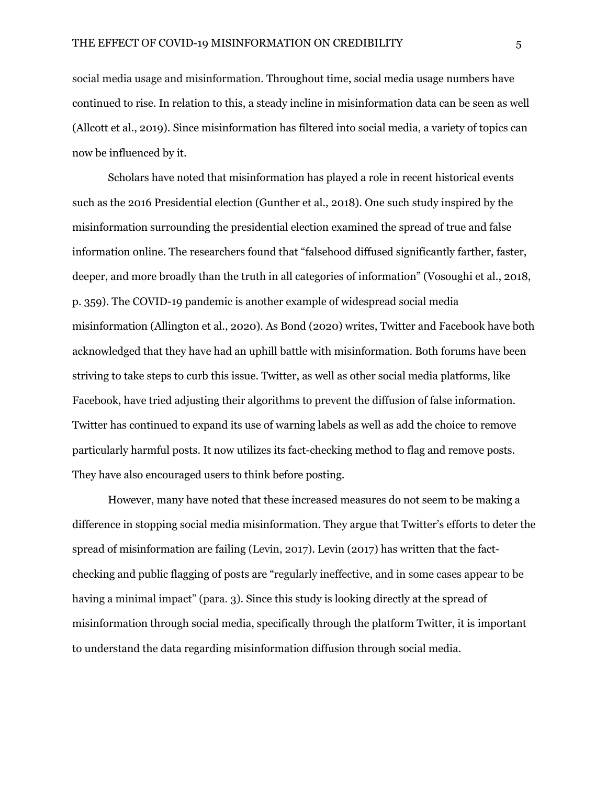social media usage and misinformation. Throughout time, social media usage numbers have continued to rise. In relation to this, a steady incline in misinformation data can be seen as well (Allcott et al., 2019). Since misinformation has filtered into social media, a variety of topics can now be influenced by it.

Scholars have noted that misinformation has played a role in recent historical events such as the 2016 Presidential election (Gunther et al., 2018). One such study inspired by the misinformation surrounding the presidential election examined the spread of true and false information online. The researchers found that "falsehood diffused significantly farther, faster, deeper, and more broadly than the truth in all categories of information" (Vosoughi et al., 2018, p. 359). The COVID-19 pandemic is another example of widespread social media misinformation (Allington et al., 2020). As Bond (2020) writes, Twitter and Facebook have both acknowledged that they have had an uphill battle with misinformation. Both forums have been striving to take steps to curb this issue. Twitter, as well as other social media platforms, like Facebook, have tried adjusting their algorithms to prevent the diffusion of false information. Twitter has continued to expand its use of warning labels as well as add the choice to remove particularly harmful posts. It now utilizes its fact-checking method to flag and remove posts. They have also encouraged users to think before posting.

However, many have noted that these increased measures do not seem to be making a difference in stopping social media misinformation. They argue that Twitter's efforts to deter the spread of misinformation are failing (Levin, 2017). Levin (2017) has written that the factchecking and public flagging of posts are "regularly ineffective, and in some cases appear to be having a minimal impact" (para. 3). Since this study is looking directly at the spread of misinformation through social media, specifically through the platform Twitter, it is important to understand the data regarding misinformation diffusion through social media.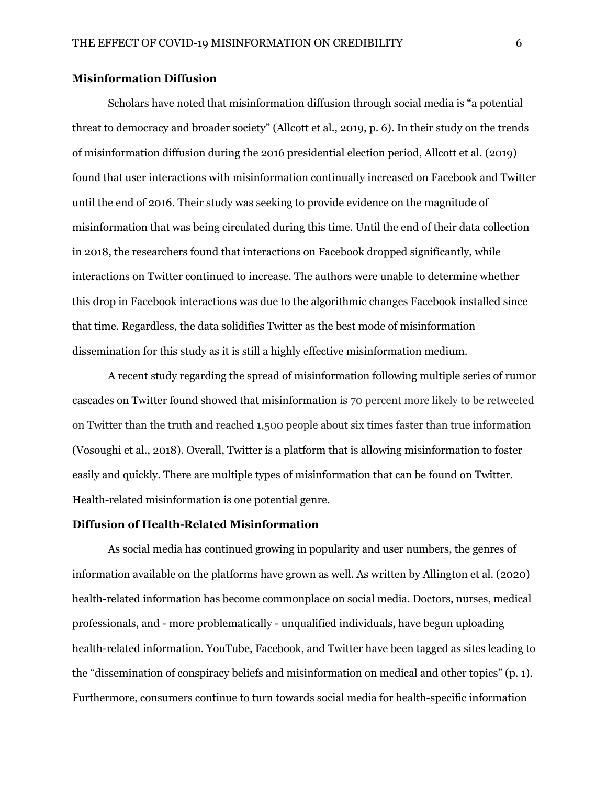# **Misinformation Diffusion**

Scholars have noted that misinformation diffusion through social media is "a potential threat to democracy and broader society" (Allcott et al., 2019, p. 6). In their study on the trends of misinformation diffusion during the 2016 presidential election period, Allcott et al. (2019) found that user interactions with misinformation continually increased on Facebook and Twitter until the end of 2016. Their study was seeking to provide evidence on the magnitude of misinformation that was being circulated during this time. Until the end of their data collection in 2018, the researchers found that interactions on Facebook dropped significantly, while interactions on Twitter continued to increase. The authors were unable to determine whether this drop in Facebook interactions was due to the algorithmic changes Facebook installed since that time. Regardless, the data solidifies Twitter as the best mode of misinformation dissemination for this study as it is still a highly effective misinformation medium.

A recent study regarding the spread of misinformation following multiple series of rumor cascades on Twitter found showed that misinformation is 70 percent more likely to be retweeted on Twitter than the truth and reached 1,500 people about six times faster than true information (Vosoughi et al., 2018). Overall, Twitter is a platform that is allowing misinformation to foster easily and quickly. There are multiple types of misinformation that can be found on Twitter. Health-related misinformation is one potential genre.

#### **Diffusion of Health-Related Misinformation**

As social media has continued growing in popularity and user numbers, the genres of information available on the platforms have grown as well. As written by Allington et al. (2020) health-related information has become commonplace on social media. Doctors, nurses, medical professionals, and - more problematically - unqualified individuals, have begun uploading health-related information. YouTube, Facebook, and Twitter have been tagged as sites leading to the "dissemination of conspiracy beliefs and misinformation on medical and other topics" (p. 1). Furthermore, consumers continue to turn towards social media for health-specific information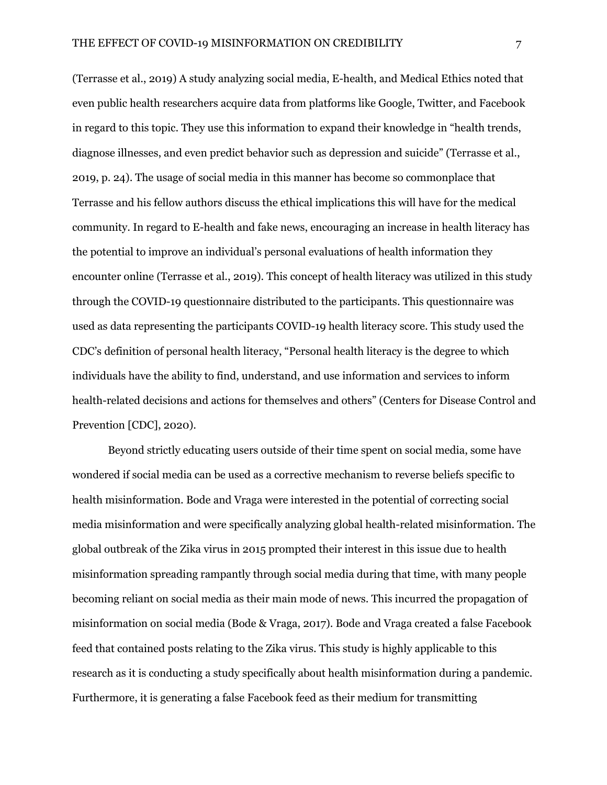(Terrasse et al., 2019) A study analyzing social media, E-health, and Medical Ethics noted that even public health researchers acquire data from platforms like Google, Twitter, and Facebook in regard to this topic. They use this information to expand their knowledge in "health trends, diagnose illnesses, and even predict behavior such as depression and suicide" (Terrasse et al., 2019, p. 24). The usage of social media in this manner has become so commonplace that Terrasse and his fellow authors discuss the ethical implications this will have for the medical community. In regard to E-health and fake news, encouraging an increase in health literacy has the potential to improve an individual's personal evaluations of health information they encounter online (Terrasse et al., 2019). This concept of health literacy was utilized in this study through the COVID-19 questionnaire distributed to the participants. This questionnaire was used as data representing the participants COVID-19 health literacy score. This study used the CDC's definition of personal health literacy, "Personal health literacy is the degree to which individuals have the ability to find, understand, and use information and services to inform health-related decisions and actions for themselves and others" (Centers for Disease Control and Prevention [CDC], 2020).

Beyond strictly educating users outside of their time spent on social media, some have wondered if social media can be used as a corrective mechanism to reverse beliefs specific to health misinformation. Bode and Vraga were interested in the potential of correcting social media misinformation and were specifically analyzing global health-related misinformation. The global outbreak of the Zika virus in 2015 prompted their interest in this issue due to health misinformation spreading rampantly through social media during that time, with many people becoming reliant on social media as their main mode of news. This incurred the propagation of misinformation on social media (Bode & Vraga, 2017). Bode and Vraga created a false Facebook feed that contained posts relating to the Zika virus. This study is highly applicable to this research as it is conducting a study specifically about health misinformation during a pandemic. Furthermore, it is generating a false Facebook feed as their medium for transmitting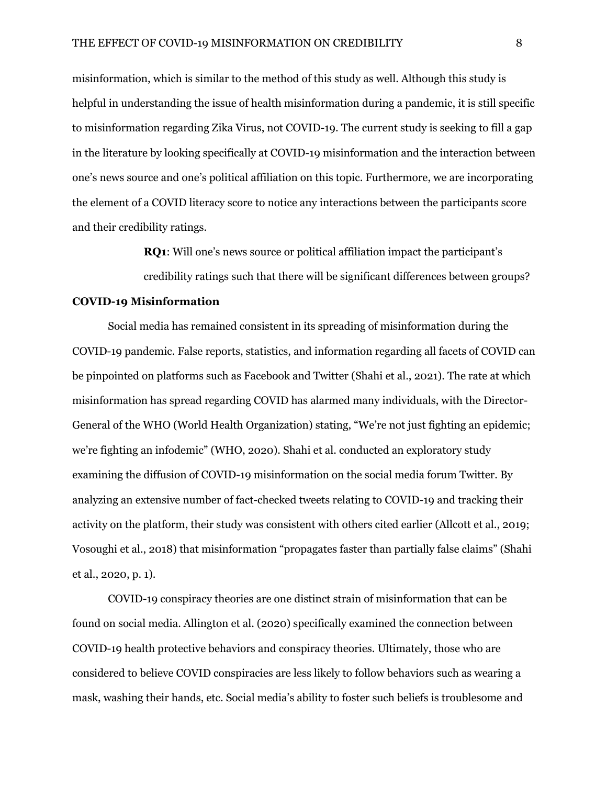misinformation, which is similar to the method of this study as well. Although this study is helpful in understanding the issue of health misinformation during a pandemic, it is still specific to misinformation regarding Zika Virus, not COVID-19. The current study is seeking to fill a gap in the literature by looking specifically at COVID-19 misinformation and the interaction between one's news source and one's political affiliation on this topic. Furthermore, we are incorporating the element of a COVID literacy score to notice any interactions between the participants score and their credibility ratings.

**RQ1**: Will one's news source or political affiliation impact the participant's

credibility ratings such that there will be significant differences between groups?

#### **COVID-19 Misinformation**

Social media has remained consistent in its spreading of misinformation during the COVID-19 pandemic. False reports, statistics, and information regarding all facets of COVID can be pinpointed on platforms such as Facebook and Twitter (Shahi et al., 2021). The rate at which misinformation has spread regarding COVID has alarmed many individuals, with the Director-General of the WHO (World Health Organization) stating, "We're not just fighting an epidemic; we're fighting an infodemic" (WHO, 2020). Shahi et al. conducted an exploratory study examining the diffusion of COVID-19 misinformation on the social media forum Twitter. By analyzing an extensive number of fact-checked tweets relating to COVID-19 and tracking their activity on the platform, their study was consistent with others cited earlier (Allcott et al., 2019; Vosoughi et al., 2018) that misinformation "propagates faster than partially false claims" (Shahi et al., 2020, p. 1).

COVID-19 conspiracy theories are one distinct strain of misinformation that can be found on social media. Allington et al. (2020) specifically examined the connection between COVID-19 health protective behaviors and conspiracy theories. Ultimately, those who are considered to believe COVID conspiracies are less likely to follow behaviors such as wearing a mask, washing their hands, etc. Social media's ability to foster such beliefs is troublesome and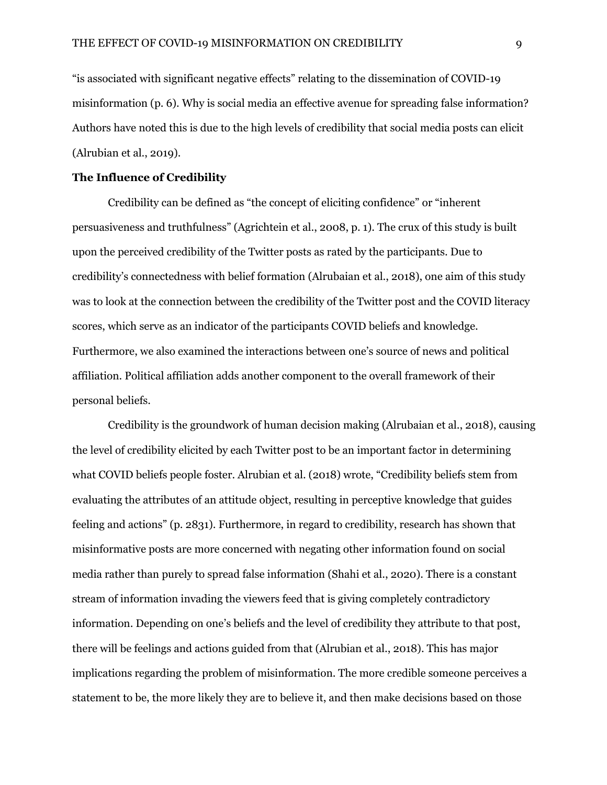"is associated with significant negative effects" relating to the dissemination of COVID-19 misinformation (p. 6). Why is social media an effective avenue for spreading false information? Authors have noted this is due to the high levels of credibility that social media posts can elicit (Alrubian et al., 2019).

# **The Influence of Credibility**

Credibility can be defined as "the concept of eliciting confidence" or "inherent persuasiveness and truthfulness" (Agrichtein et al., 2008, p. 1). The crux of this study is built upon the perceived credibility of the Twitter posts as rated by the participants. Due to credibility's connectedness with belief formation (Alrubaian et al., 2018), one aim of this study was to look at the connection between the credibility of the Twitter post and the COVID literacy scores, which serve as an indicator of the participants COVID beliefs and knowledge. Furthermore, we also examined the interactions between one's source of news and political affiliation. Political affiliation adds another component to the overall framework of their personal beliefs.

Credibility is the groundwork of human decision making (Alrubaian et al., 2018), causing the level of credibility elicited by each Twitter post to be an important factor in determining what COVID beliefs people foster. Alrubian et al. (2018) wrote, "Credibility beliefs stem from evaluating the attributes of an attitude object, resulting in perceptive knowledge that guides feeling and actions" (p. 2831). Furthermore, in regard to credibility, research has shown that misinformative posts are more concerned with negating other information found on social media rather than purely to spread false information (Shahi et al., 2020). There is a constant stream of information invading the viewers feed that is giving completely contradictory information. Depending on one's beliefs and the level of credibility they attribute to that post, there will be feelings and actions guided from that (Alrubian et al., 2018). This has major implications regarding the problem of misinformation. The more credible someone perceives a statement to be, the more likely they are to believe it, and then make decisions based on those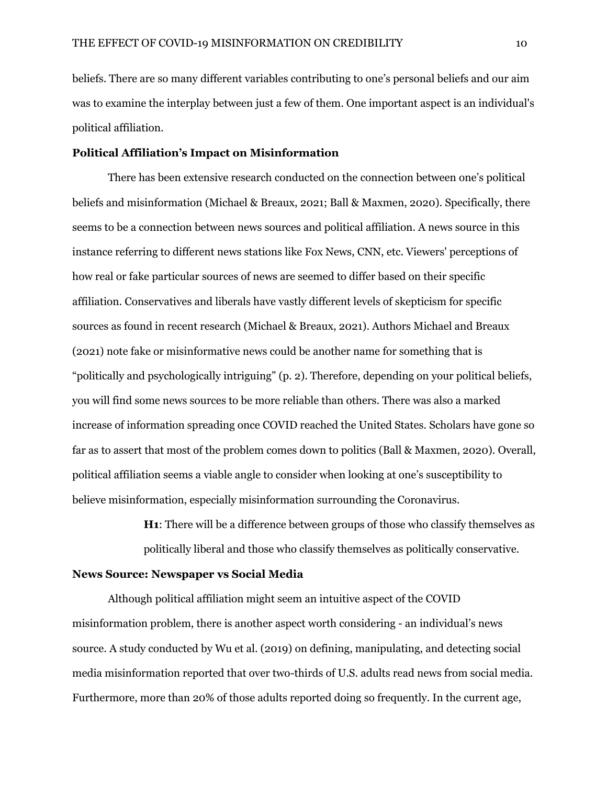beliefs. There are so many different variables contributing to one's personal beliefs and our aim was to examine the interplay between just a few of them. One important aspect is an individual's political affiliation.

#### **Political Affiliation's Impact on Misinformation**

There has been extensive research conducted on the connection between one's political beliefs and misinformation (Michael & Breaux, 2021; Ball & Maxmen, 2020). Specifically, there seems to be a connection between news sources and political affiliation. A news source in this instance referring to different news stations like Fox News, CNN, etc. Viewers' perceptions of how real or fake particular sources of news are seemed to differ based on their specific affiliation. Conservatives and liberals have vastly different levels of skepticism for specific sources as found in recent research (Michael & Breaux, 2021). Authors Michael and Breaux (2021) note fake or misinformative news could be another name for something that is "politically and psychologically intriguing" (p. 2). Therefore, depending on your political beliefs, you will find some news sources to be more reliable than others. There was also a marked increase of information spreading once COVID reached the United States. Scholars have gone so far as to assert that most of the problem comes down to politics (Ball & Maxmen, 2020). Overall, political affiliation seems a viable angle to consider when looking at one's susceptibility to believe misinformation, especially misinformation surrounding the Coronavirus.

**H1**: There will be a difference between groups of those who classify themselves as

politically liberal and those who classify themselves as politically conservative.

# **News Source: Newspaper vs Social Media**

Although political affiliation might seem an intuitive aspect of the COVID misinformation problem, there is another aspect worth considering - an individual's news source. A study conducted by Wu et al. (2019) on defining, manipulating, and detecting social media misinformation reported that over two-thirds of U.S. adults read news from social media. Furthermore, more than 20% of those adults reported doing so frequently. In the current age,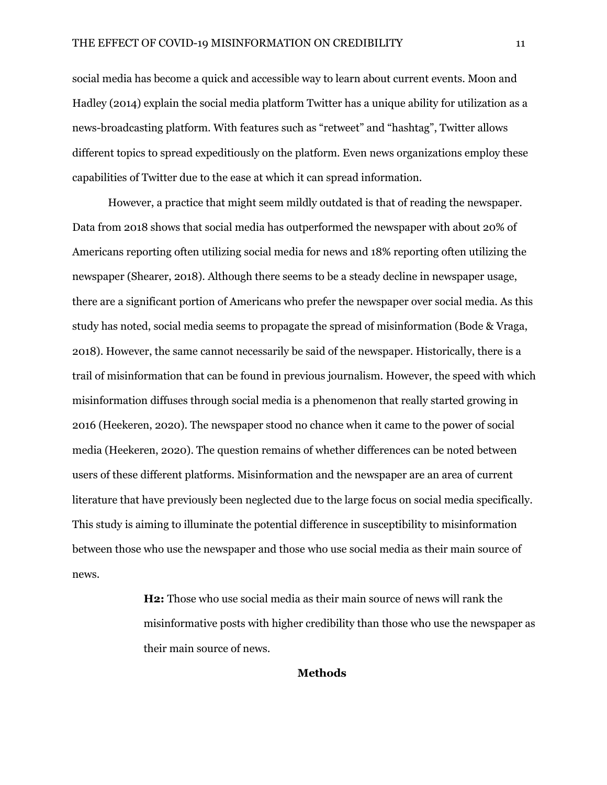social media has become a quick and accessible way to learn about current events. Moon and Hadley (2014) explain the social media platform Twitter has a unique ability for utilization as a news-broadcasting platform. With features such as "retweet" and "hashtag", Twitter allows different topics to spread expeditiously on the platform. Even news organizations employ these capabilities of Twitter due to the ease at which it can spread information.

However, a practice that might seem mildly outdated is that of reading the newspaper. Data from 2018 shows that social media has outperformed the newspaper with about 20% of Americans reporting often utilizing social media for news and 18% reporting often utilizing the newspaper (Shearer, 2018). Although there seems to be a steady decline in newspaper usage, there are a significant portion of Americans who prefer the newspaper over social media. As this study has noted, social media seems to propagate the spread of misinformation (Bode & Vraga, 2018). However, the same cannot necessarily be said of the newspaper. Historically, there is a trail of misinformation that can be found in previous journalism. However, the speed with which misinformation diffuses through social media is a phenomenon that really started growing in 2016 (Heekeren, 2020). The newspaper stood no chance when it came to the power of social media (Heekeren, 2020). The question remains of whether differences can be noted between users of these different platforms. Misinformation and the newspaper are an area of current literature that have previously been neglected due to the large focus on social media specifically. This study is aiming to illuminate the potential difference in susceptibility to misinformation between those who use the newspaper and those who use social media as their main source of news.

> **H2:** Those who use social media as their main source of news will rank the misinformative posts with higher credibility than those who use the newspaper as their main source of news.

> > **Methods**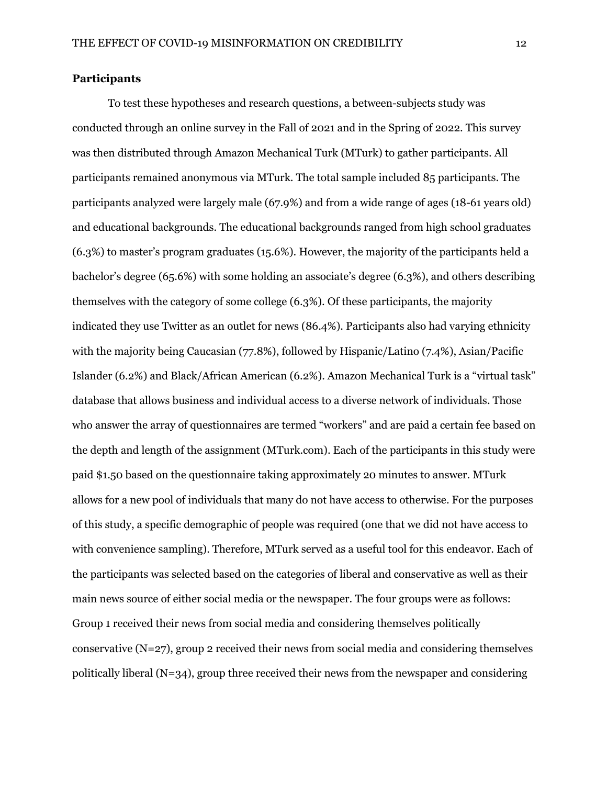# **Participants**

To test these hypotheses and research questions, a between-subjects study was conducted through an online survey in the Fall of 2021 and in the Spring of 2022. This survey was then distributed through Amazon Mechanical Turk (MTurk) to gather participants. All participants remained anonymous via MTurk. The total sample included 85 participants. The participants analyzed were largely male (67.9%) and from a wide range of ages (18-61 years old) and educational backgrounds. The educational backgrounds ranged from high school graduates (6.3%) to master's program graduates (15.6%). However, the majority of the participants held a bachelor's degree (65.6%) with some holding an associate's degree (6.3%), and others describing themselves with the category of some college (6.3%). Of these participants, the majority indicated they use Twitter as an outlet for news (86.4%). Participants also had varying ethnicity with the majority being Caucasian (77.8%), followed by Hispanic/Latino (7.4%), Asian/Pacific Islander (6.2%) and Black/African American (6.2%). Amazon Mechanical Turk is a "virtual task" database that allows business and individual access to a diverse network of individuals. Those who answer the array of questionnaires are termed "workers" and are paid a certain fee based on the depth and length of the assignment (MTurk.com). Each of the participants in this study were paid \$1.50 based on the questionnaire taking approximately 20 minutes to answer. MTurk allows for a new pool of individuals that many do not have access to otherwise. For the purposes of this study, a specific demographic of people was required (one that we did not have access to with convenience sampling). Therefore, MTurk served as a useful tool for this endeavor. Each of the participants was selected based on the categories of liberal and conservative as well as their main news source of either social media or the newspaper. The four groups were as follows: Group 1 received their news from social media and considering themselves politically conservative (N=27), group 2 received their news from social media and considering themselves politically liberal  $(N=34)$ , group three received their news from the newspaper and considering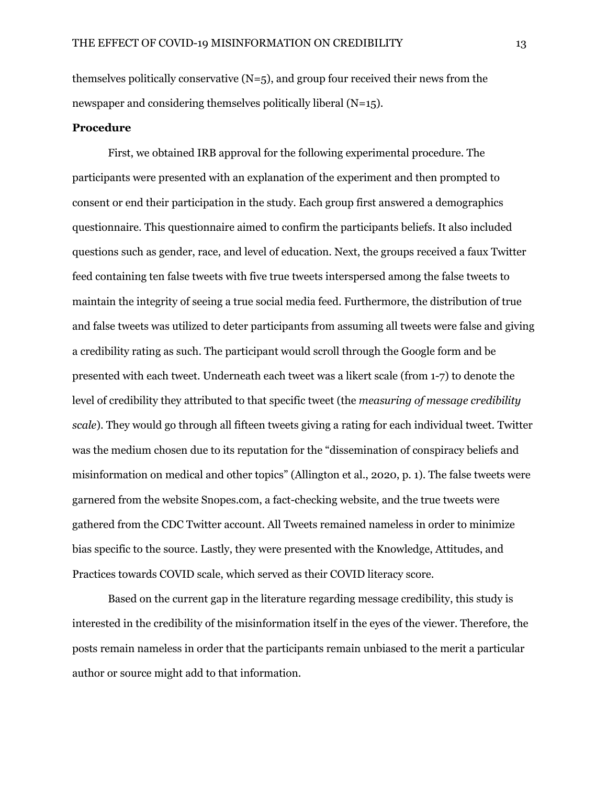themselves politically conservative  $(N=5)$ , and group four received their news from the newspaper and considering themselves politically liberal (N=15).

# **Procedure**

First, we obtained IRB approval for the following experimental procedure. The participants were presented with an explanation of the experiment and then prompted to consent or end their participation in the study. Each group first answered a demographics questionnaire. This questionnaire aimed to confirm the participants beliefs. It also included questions such as gender, race, and level of education. Next, the groups received a faux Twitter feed containing ten false tweets with five true tweets interspersed among the false tweets to maintain the integrity of seeing a true social media feed. Furthermore, the distribution of true and false tweets was utilized to deter participants from assuming all tweets were false and giving a credibility rating as such. The participant would scroll through the Google form and be presented with each tweet. Underneath each tweet was a likert scale (from 1-7) to denote the level of credibility they attributed to that specific tweet (the *measuring of message credibility scale*). They would go through all fifteen tweets giving a rating for each individual tweet. Twitter was the medium chosen due to its reputation for the "dissemination of conspiracy beliefs and misinformation on medical and other topics" (Allington et al., 2020, p. 1). The false tweets were garnered from the website Snopes.com, a fact-checking website, and the true tweets were gathered from the CDC Twitter account. All Tweets remained nameless in order to minimize bias specific to the source. Lastly, they were presented with the Knowledge, Attitudes, and Practices towards COVID scale, which served as their COVID literacy score.

Based on the current gap in the literature regarding message credibility, this study is interested in the credibility of the misinformation itself in the eyes of the viewer. Therefore, the posts remain nameless in order that the participants remain unbiased to the merit a particular author or source might add to that information.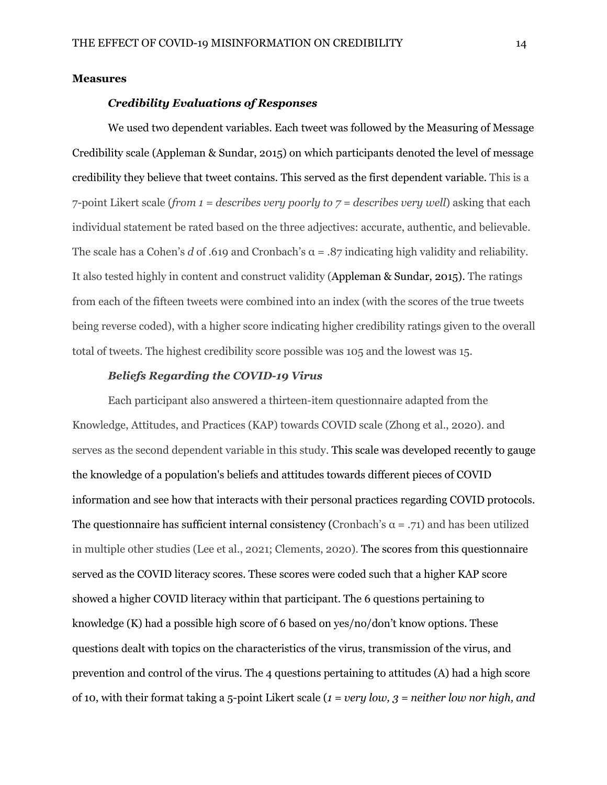#### **Measures**

### *Credibility Evaluations of Responses*

We used two dependent variables. Each tweet was followed by the Measuring of Message Credibility scale (Appleman & Sundar, 2015) on which participants denoted the level of message credibility they believe that tweet contains. This served as the first dependent variable. This is a 7-point Likert scale (*from 1 = describes very poorly to 7 = describes very well*) asking that each individual statement be rated based on the three adjectives: accurate, authentic, and believable. The scale has a Cohen's *d* of .619 and Cronbach's  $\alpha = .87$  indicating high validity and reliability. It also tested highly in content and construct validity (Appleman & Sundar, 2015). The ratings from each of the fifteen tweets were combined into an index (with the scores of the true tweets being reverse coded), with a higher score indicating higher credibility ratings given to the overall total of tweets. The highest credibility score possible was 105 and the lowest was 15.

# *Beliefs Regarding the COVID-19 Virus*

Each participant also answered a thirteen-item questionnaire adapted from the Knowledge, Attitudes, and Practices (KAP) towards COVID scale (Zhong et al., 2020). and serves as the second dependent variable in this study. This scale was developed recently to gauge the knowledge of a population's beliefs and attitudes towards different pieces of COVID information and see how that interacts with their personal practices regarding COVID protocols. The questionnaire has sufficient internal consistency (Cronbach's  $\alpha = .71$ ) and has been utilized in multiple other studies (Lee et al., 2021; Clements, 2020). The scores from this questionnaire served as the COVID literacy scores. These scores were coded such that a higher KAP score showed a higher COVID literacy within that participant. The 6 questions pertaining to knowledge (K) had a possible high score of 6 based on yes/no/don't know options. These questions dealt with topics on the characteristics of the virus, transmission of the virus, and prevention and control of the virus. The 4 questions pertaining to attitudes (A) had a high score of 10, with their format taking a 5-point Likert scale (*1 = very low, 3 = neither low nor high, and*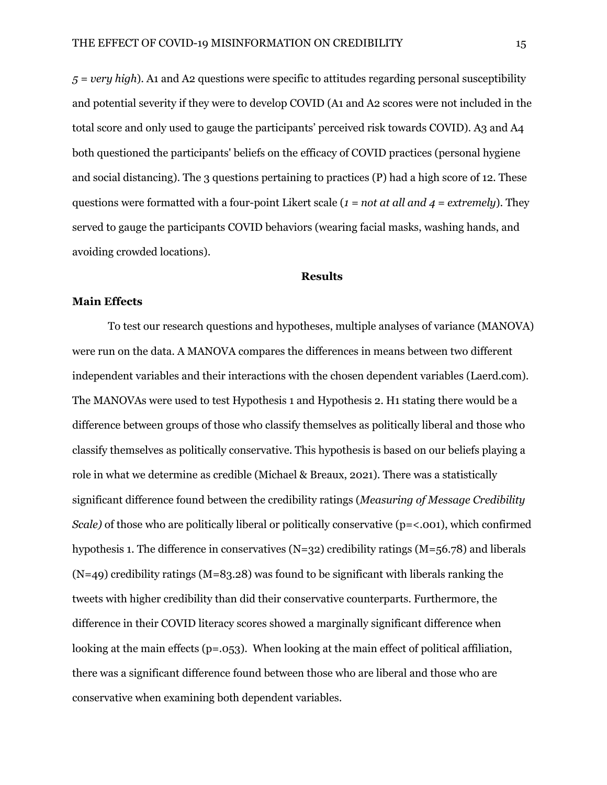*5 = very high*). A1 and A2 questions were specific to attitudes regarding personal susceptibility and potential severity if they were to develop COVID (A1 and A2 scores were not included in the total score and only used to gauge the participants' perceived risk towards COVID). A3 and A4 both questioned the participants' beliefs on the efficacy of COVID practices (personal hygiene and social distancing). The 3 questions pertaining to practices (P) had a high score of 12. These questions were formatted with a four-point Likert scale (*1 = not at all and 4 = extremely*). They served to gauge the participants COVID behaviors (wearing facial masks, washing hands, and avoiding crowded locations).

#### **Results**

#### **Main Effects**

To test our research questions and hypotheses, multiple analyses of variance (MANOVA) were run on the data. A MANOVA compares the differences in means between two different independent variables and their interactions with the chosen dependent variables (Laerd.com). The MANOVAs were used to test Hypothesis 1 and Hypothesis 2. H1 stating there would be a difference between groups of those who classify themselves as politically liberal and those who classify themselves as politically conservative. This hypothesis is based on our beliefs playing a role in what we determine as credible (Michael & Breaux, 2021). There was a statistically significant difference found between the credibility ratings (*Measuring of Message Credibility Scale*) of those who are politically liberal or politically conservative (p=<.001), which confirmed hypothesis 1. The difference in conservatives  $(N=32)$  credibility ratings  $(M=56.78)$  and liberals  $(N=49)$  credibility ratings  $(M=83.28)$  was found to be significant with liberals ranking the tweets with higher credibility than did their conservative counterparts. Furthermore, the difference in their COVID literacy scores showed a marginally significant difference when looking at the main effects ( $p = .053$ ). When looking at the main effect of political affiliation, there was a significant difference found between those who are liberal and those who are conservative when examining both dependent variables.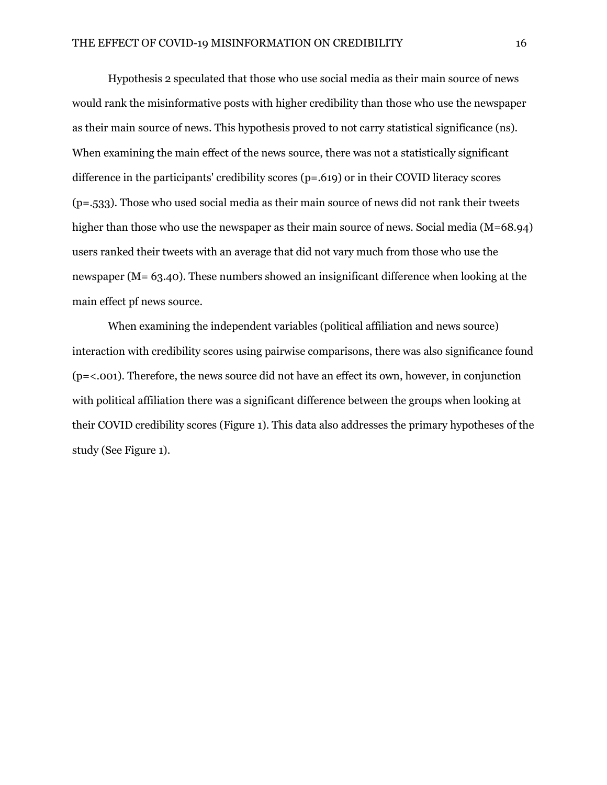Hypothesis 2 speculated that those who use social media as their main source of news would rank the misinformative posts with higher credibility than those who use the newspaper as their main source of news. This hypothesis proved to not carry statistical significance (ns). When examining the main effect of the news source, there was not a statistically significant difference in the participants' credibility scores (p=.619) or in their COVID literacy scores (p=.533). Those who used social media as their main source of news did not rank their tweets higher than those who use the newspaper as their main source of news. Social media (M=68.94) users ranked their tweets with an average that did not vary much from those who use the newspaper (M= 63.40). These numbers showed an insignificant difference when looking at the main effect pf news source.

When examining the independent variables (political affiliation and news source) interaction with credibility scores using pairwise comparisons, there was also significance found (p=<.001). Therefore, the news source did not have an effect its own, however, in conjunction with political affiliation there was a significant difference between the groups when looking at their COVID credibility scores (Figure 1). This data also addresses the primary hypotheses of the study (See Figure 1).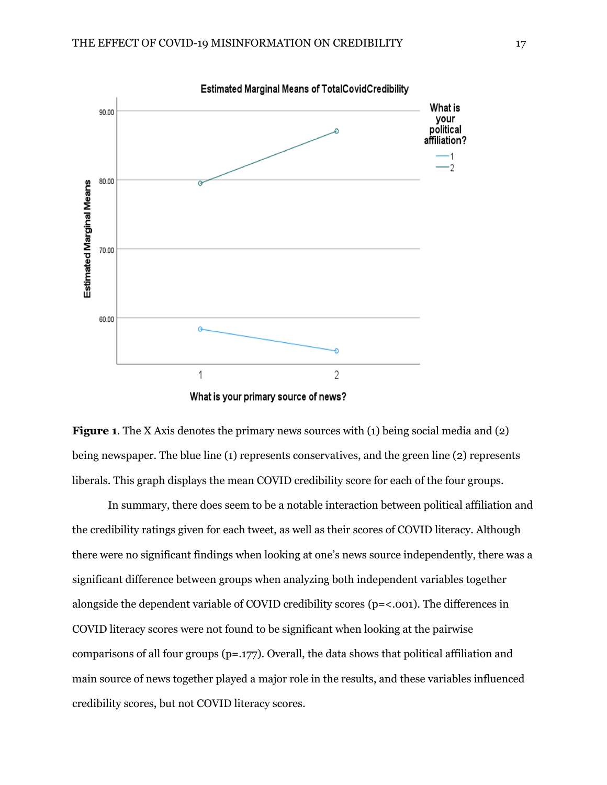



In summary, there does seem to be a notable interaction between political affiliation and the credibility ratings given for each tweet, as well as their scores of COVID literacy. Although there were no significant findings when looking at one's news source independently, there was a significant difference between groups when analyzing both independent variables together alongside the dependent variable of COVID credibility scores (p=<.001). The differences in COVID literacy scores were not found to be significant when looking at the pairwise comparisons of all four groups (p=.177). Overall, the data shows that political affiliation and main source of news together played a major role in the results, and these variables influenced credibility scores, but not COVID literacy scores.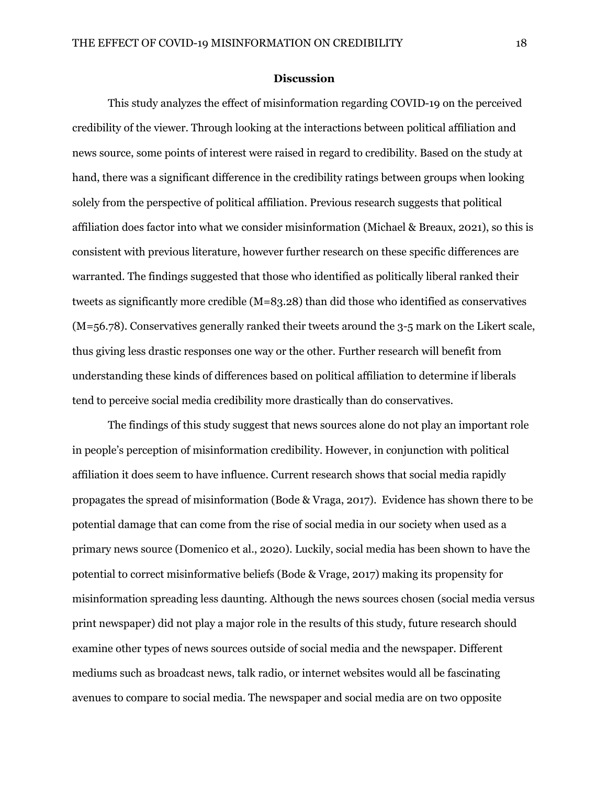#### **Discussion**

This study analyzes the effect of misinformation regarding COVID-19 on the perceived credibility of the viewer. Through looking at the interactions between political affiliation and news source, some points of interest were raised in regard to credibility. Based on the study at hand, there was a significant difference in the credibility ratings between groups when looking solely from the perspective of political affiliation. Previous research suggests that political affiliation does factor into what we consider misinformation (Michael & Breaux, 2021), so this is consistent with previous literature, however further research on these specific differences are warranted. The findings suggested that those who identified as politically liberal ranked their tweets as significantly more credible (M=83.28) than did those who identified as conservatives (M=56.78). Conservatives generally ranked their tweets around the 3-5 mark on the Likert scale, thus giving less drastic responses one way or the other. Further research will benefit from understanding these kinds of differences based on political affiliation to determine if liberals tend to perceive social media credibility more drastically than do conservatives.

The findings of this study suggest that news sources alone do not play an important role in people's perception of misinformation credibility. However, in conjunction with political affiliation it does seem to have influence. Current research shows that social media rapidly propagates the spread of misinformation (Bode & Vraga, 2017). Evidence has shown there to be potential damage that can come from the rise of social media in our society when used as a primary news source (Domenico et al., 2020). Luckily, social media has been shown to have the potential to correct misinformative beliefs (Bode & Vrage, 2017) making its propensity for misinformation spreading less daunting. Although the news sources chosen (social media versus print newspaper) did not play a major role in the results of this study, future research should examine other types of news sources outside of social media and the newspaper. Different mediums such as broadcast news, talk radio, or internet websites would all be fascinating avenues to compare to social media. The newspaper and social media are on two opposite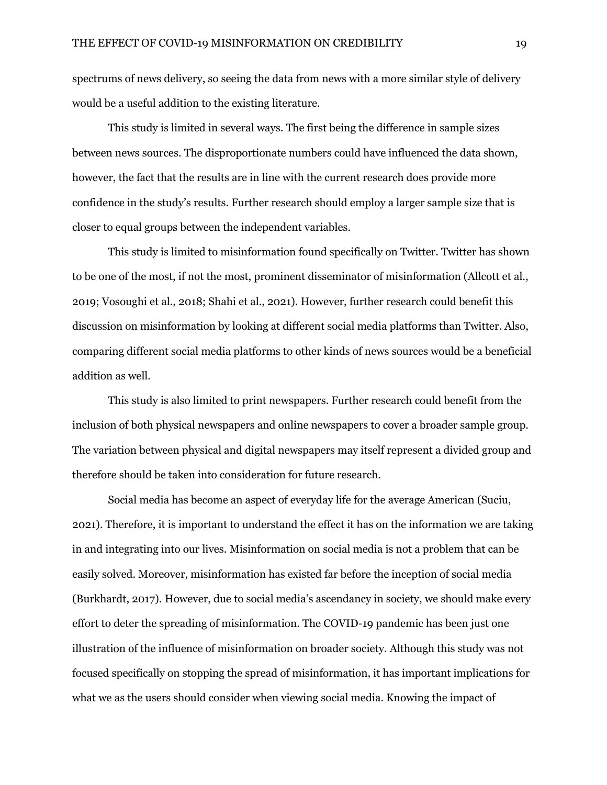spectrums of news delivery, so seeing the data from news with a more similar style of delivery would be a useful addition to the existing literature.

This study is limited in several ways. The first being the difference in sample sizes between news sources. The disproportionate numbers could have influenced the data shown, however, the fact that the results are in line with the current research does provide more confidence in the study's results. Further research should employ a larger sample size that is closer to equal groups between the independent variables.

This study is limited to misinformation found specifically on Twitter. Twitter has shown to be one of the most, if not the most, prominent disseminator of misinformation (Allcott et al., 2019; Vosoughi et al., 2018; Shahi et al., 2021). However, further research could benefit this discussion on misinformation by looking at different social media platforms than Twitter. Also, comparing different social media platforms to other kinds of news sources would be a beneficial addition as well.

This study is also limited to print newspapers. Further research could benefit from the inclusion of both physical newspapers and online newspapers to cover a broader sample group. The variation between physical and digital newspapers may itself represent a divided group and therefore should be taken into consideration for future research.

Social media has become an aspect of everyday life for the average American (Suciu, 2021). Therefore, it is important to understand the effect it has on the information we are taking in and integrating into our lives. Misinformation on social media is not a problem that can be easily solved. Moreover, misinformation has existed far before the inception of social media (Burkhardt, 2017). However, due to social media's ascendancy in society, we should make every effort to deter the spreading of misinformation. The COVID-19 pandemic has been just one illustration of the influence of misinformation on broader society. Although this study was not focused specifically on stopping the spread of misinformation, it has important implications for what we as the users should consider when viewing social media. Knowing the impact of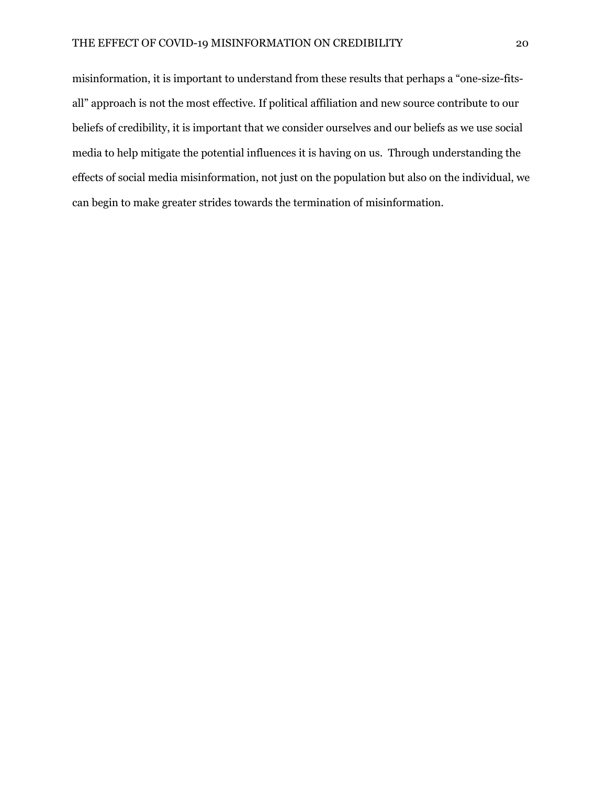misinformation, it is important to understand from these results that perhaps a "one-size-fitsall" approach is not the most effective. If political affiliation and new source contribute to our beliefs of credibility, it is important that we consider ourselves and our beliefs as we use social media to help mitigate the potential influences it is having on us. Through understanding the effects of social media misinformation, not just on the population but also on the individual, we can begin to make greater strides towards the termination of misinformation.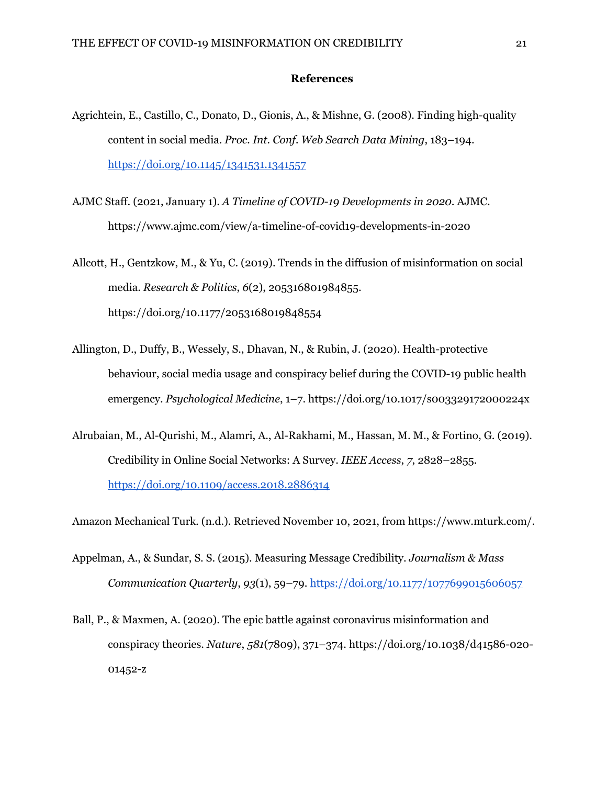### **References**

- Agrichtein, E., Castillo, C., Donato, D., Gionis, A., & Mishne, G. (2008). Finding high-quality content in social media. *Proc. Int. Conf. Web Search Data Mining*, 183–194. https://doi.org/10.1145/1341531.1341557
- AJMC Staff. (2021, January 1). *A Timeline of COVID-19 Developments in 2020*. AJMC. https://www.ajmc.com/view/a-timeline-of-covid19-developments-in-2020
- Allcott, H., Gentzkow, M., & Yu, C. (2019). Trends in the diffusion of misinformation on social media. *Research & Politics*, *6*(2), 205316801984855. https://doi.org/10.1177/2053168019848554
- Allington, D., Duffy, B., Wessely, S., Dhavan, N., & Rubin, J. (2020). Health-protective behaviour, social media usage and conspiracy belief during the COVID-19 public health emergency. *Psychological Medicine*, 1–7. https://doi.org/10.1017/s003329172000224x
- Alrubaian, M., Al-Qurishi, M., Alamri, A., Al-Rakhami, M., Hassan, M. M., & Fortino, G. (2019). Credibility in Online Social Networks: A Survey. *IEEE Access*, *7*, 2828–2855. https://doi.org/10.1109/access.2018.2886314

Amazon Mechanical Turk. (n.d.). Retrieved November 10, 2021, from https://www.mturk.com/.

- Appelman, A., & Sundar, S. S. (2015). Measuring Message Credibility. *Journalism & Mass Communication Quarterly*, *93*(1), 59–79. https://doi.org/10.1177/1077699015606057
- Ball, P., & Maxmen, A. (2020). The epic battle against coronavirus misinformation and conspiracy theories. *Nature*, *581*(7809), 371–374. https://doi.org/10.1038/d41586-020- 01452-z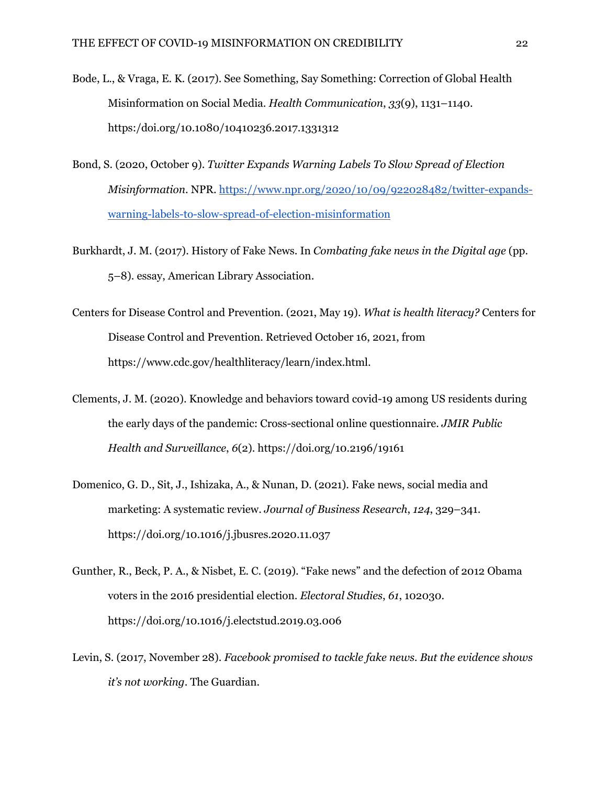- Bode, L., & Vraga, E. K. (2017). See Something, Say Something: Correction of Global Health Misinformation on Social Media. *Health Communication*, *33*(9), 1131–1140. https:/doi.org/10.1080/10410236.2017.1331312
- Bond, S. (2020, October 9). *Twitter Expands Warning Labels To Slow Spread of Election Misinformation*. NPR. https://www.npr.org/2020/10/09/922028482/twitter-expandswarning-labels-to-slow-spread-of-election-misinformation
- Burkhardt, J. M. (2017). History of Fake News. In *Combating fake news in the Digital age* (pp. 5–8). essay, American Library Association.
- Centers for Disease Control and Prevention. (2021, May 19). *What is health literacy?* Centers for Disease Control and Prevention. Retrieved October 16, 2021, from https://www.cdc.gov/healthliteracy/learn/index.html.
- Clements, J. M. (2020). Knowledge and behaviors toward covid-19 among US residents during the early days of the pandemic: Cross-sectional online questionnaire. *JMIR Public Health and Surveillance*, *6*(2). https://doi.org/10.2196/19161
- Domenico, G. D., Sit, J., Ishizaka, A., & Nunan, D. (2021). Fake news, social media and marketing: A systematic review. *Journal of Business Research*, *124*, 329–341. https://doi.org/10.1016/j.jbusres.2020.11.037
- Gunther, R., Beck, P. A., & Nisbet, E. C. (2019). "Fake news" and the defection of 2012 Obama voters in the 2016 presidential election. *Electoral Studies*, *61*, 102030. https://doi.org/10.1016/j.electstud.2019.03.006
- Levin, S. (2017, November 28). *Facebook promised to tackle fake news. But the evidence shows it's not working*. The Guardian.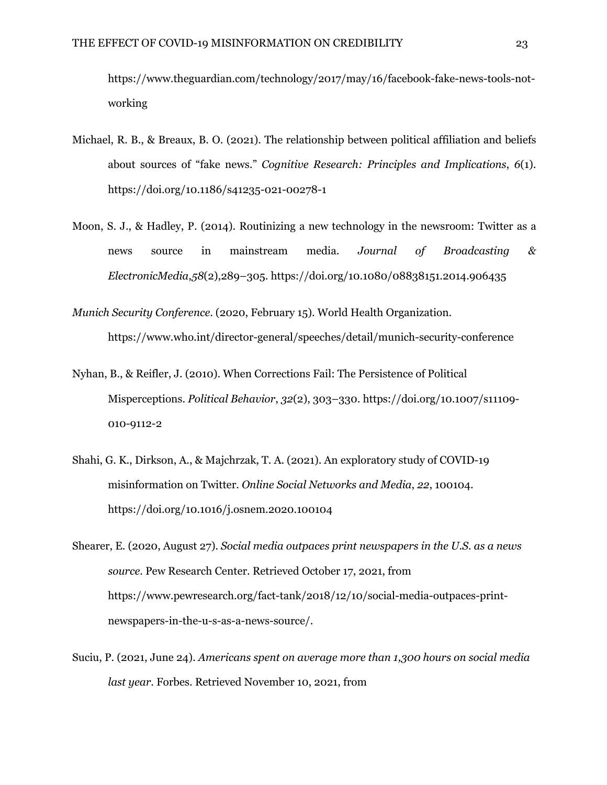https://www.theguardian.com/technology/2017/may/16/facebook-fake-news-tools-notworking

- Michael, R. B., & Breaux, B. O. (2021). The relationship between political affiliation and beliefs about sources of "fake news." *Cognitive Research: Principles and Implications*, *6*(1). https://doi.org/10.1186/s41235-021-00278-1
- Moon, S. J., & Hadley, P. (2014). Routinizing a new technology in the newsroom: Twitter as a news source in mainstream media. *Journal of Broadcasting & ElectronicMedia*,*58*(2),289–305. https://doi.org/10.1080/08838151.2014.906435
- *Munich Security Conference*. (2020, February 15). World Health Organization. https://www.who.int/director-general/speeches/detail/munich-security-conference
- Nyhan, B., & Reifler, J. (2010). When Corrections Fail: The Persistence of Political Misperceptions. *Political Behavior*, *32*(2), 303–330. https://doi.org/10.1007/s11109- 010-9112-2
- Shahi, G. K., Dirkson, A., & Majchrzak, T. A. (2021). An exploratory study of COVID-19 misinformation on Twitter. *Online Social Networks and Media*, *22*, 100104. https://doi.org/10.1016/j.osnem.2020.100104
- Shearer, E. (2020, August 27). *Social media outpaces print newspapers in the U.S. as a news source*. Pew Research Center. Retrieved October 17, 2021, from https://www.pewresearch.org/fact-tank/2018/12/10/social-media-outpaces-printnewspapers-in-the-u-s-as-a-news-source/.
- Suciu, P. (2021, June 24). *Americans spent on average more than 1,300 hours on social media last year*. Forbes. Retrieved November 10, 2021, from